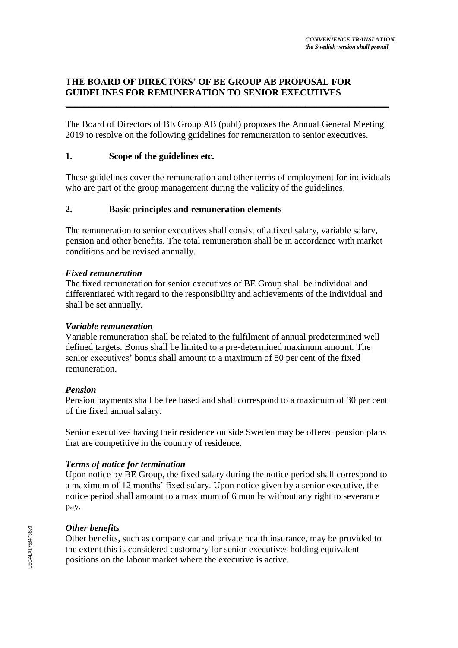# **THE BOARD OF DIRECTORS' OF BE GROUP AB PROPOSAL FOR GUIDELINES FOR REMUNERATION TO SENIOR EXECUTIVES** \_\_\_\_\_\_\_\_\_\_\_\_\_\_\_\_\_\_\_\_\_\_\_\_\_\_\_\_\_\_\_\_\_\_\_\_\_\_\_\_\_\_\_\_\_\_\_\_\_\_\_\_\_\_\_\_\_\_\_\_\_\_\_\_\_\_\_\_\_\_

The Board of Directors of BE Group AB (publ) proposes the Annual General Meeting 2019 to resolve on the following guidelines for remuneration to senior executives.

# **1. Scope of the guidelines etc.**

These guidelines cover the remuneration and other terms of employment for individuals who are part of the group management during the validity of the guidelines.

# **2. Basic principles and remuneration elements**

The remuneration to senior executives shall consist of a fixed salary, variable salary, pension and other benefits. The total remuneration shall be in accordance with market conditions and be revised annually.

## *Fixed remuneration*

The fixed remuneration for senior executives of BE Group shall be individual and differentiated with regard to the responsibility and achievements of the individual and shall be set annually.

#### *Variable remuneration*

Variable remuneration shall be related to the fulfilment of annual predetermined well defined targets. Bonus shall be limited to a pre-determined maximum amount. The senior executives' bonus shall amount to a maximum of 50 per cent of the fixed remuneration.

## *Pension*

Pension payments shall be fee based and shall correspond to a maximum of 30 per cent of the fixed annual salary.

Senior executives having their residence outside Sweden may be offered pension plans that are competitive in the country of residence.

## *Terms of notice for termination*

Upon notice by BE Group, the fixed salary during the notice period shall correspond to a maximum of 12 months' fixed salary. Upon notice given by a senior executive, the notice period shall amount to a maximum of 6 months without any right to severance pay.

## *Other benefits*

Other benefits, such as company car and private health insurance, may be provided to the extent this is considered customary for senior executives holding equivalent positions on the labour market where the executive is active.